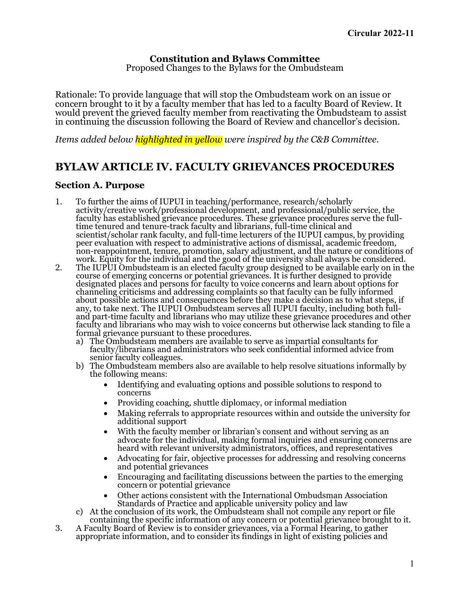# **Constitution and Bylaws Committee** Proposed Changes to the Bylaws for the Ombudsteam

Rationale: To provide language that will stop the Ombudsteam work on an issue or concern brought to it by a faculty member that has led to a faculty Board of Review. It in continuing the discussion following the Board of Review and chancellor's decision.

*Items added below highlighted in yellow were inspired by the C&B Committee.*

# **BYLAW ARTICLE IV. FACULTY GRIEVANCES PROCEDURES**

### **Section A. Purpose**

- 1. To further the aims of IUPUI in teaching/performance, research/scholarly activity/creative work/professional development, and professional/public service, the faculty has established grievance procedures. These grievance procedures serve the full-<br>time tenured and tenure-track faculty and librarians, full-time clinical and scientist/scholar rank faculty, and full-time lecturers of the IUPUI campus, by providing<br>peer evaluation with respect to administrative actions of dismissal, academic freedom, non-reappointment, tenure, promotion, salary adjustment, and the nature or conditions of work. Equity for the individual and the good of the university shall always be considered. The IUPUI Ombudsteam is an elected faculty
- 2. The IUPUI Ombudsteam is an elected faculty group designed to be available early on in<br>course of emerging concerns or potential grievances. It is further designed to provide<br>designated places and persons for faculty to v about possible actions and consequences before they make a decision as to what steps, if any, to take next. The IUPUI Ombudsteam serves all IUPUI faculty, including both fulland part-time faculty and librarians who may utilize these grievance procedures and other faculty and librarians who may wish to voice concerns but otherwise lack standing to file a formal grievance pursuant to these procedures.<br>
a) The Ombudsteam members are available to serve as impartial consultants for
	- faculty/librarians and administrators who seek confidential informed advice from senior faculty colleagues.
	- b) The Ombudsteam members also are available to help resolve situations informally by the following means:
		- Identifying and evaluating options and possible solutions to respond to concerns
		- Providing coaching, shuttle diplomacy, or informal mediation
		- Making referrals to appropriate resources within and outside the university for additional support
		- With the faculty member or librarian's consent and without serving as an advocate for the individual, making formal inquiries and ensuring concerns are heard with relevant university administrators, offices, and representatives
		- Advocating for fair, objective processes for addressing and resolving concerns and potential grievances
		- Encouraging and facilitating discussions between the parties to the emerging concern or potential grievance
	- Other actions consistent with the International Ombudsman Association Standards of Practice and applicable university policy and law<br>c) At the conclusion of its work, the Ombudsteam shall not compile any report or file
	- containing the specific information of any concern or potential grievance brought to it.
- 3. A Faculty Board of Review is to consider grievances, via a Formal Hearing, to gather appropriate information, and to consider its findings in light of existing policies and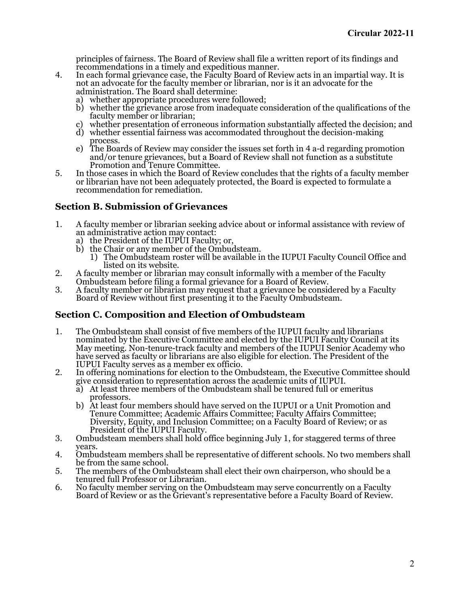principles of fairness. The Board of Review shall file a written report of its findings and recommendations in a timely and expeditious manner.

- 4. In each formal grievance case, the Faculty Board of Review acts in an impartial way. It is not an advocate for the faculty member or librarian, nor is it an advocate for the administration. The Board shall determine:<br>a) whether appropriate procedures were followed;
	-
	- b) whether the grievance arose from inadequate consideration of the qualifications of the faculty member or librarian;<br>c) whether presentation of erroneous information substantially affected the decision; and
	-
	- d) whether essential fairness was accommodated throughout the decision-making process.
	- e) The Boards of Review may consider the issues set forth in 4 a-d regarding promotion and/or tenure grievances, but a Board of Review shall not function as a substitute Promotion and Tenure Committee.
- 5. In those cases in which the Board of Review concludes that the rights of a faculty member or librarian have not been adequately protected, the Board is expected to formulate a recommendation for remediation.

## **Section B. Submission of Grievances**

- 1. A faculty member or librarian seeking advice about or informal assistance with review of an administrative action may contact:<br>a) the President of the IUPUI Faculty; or,
	-
	-
	- b) the Chair or any member of the Ombudsteam.<br>
	1) The Ombudsteam roster will be available in the IUPUI Faculty Council Office and<br>
	listed on its website.
- 2. A faculty member or librarian may consult informally with a member of the Faculty Ombudsteam before filing a formal grievance for a Board of Review.
- 3. A faculty member or librarian may request that a grievance be considered by a Faculty Board of Review without first presenting it to the Faculty Ombudsteam.

### **Section C. Composition and Election of Ombudsteam**

- 1. The Ombudsteam shall consist of five members of the IUPUI faculty and librarians nominated by the Executive Committee and elected by the IUPUI Faculty Council at its May meeting. Non-tenure-track faculty and members of the IUPUI Senior Academy who have served as faculty or librarians are also eligible for election. The President of the IUPUI Faculty serves as a member ex officio.
- 2. In offering nominations for election to the Ombudsteam, the Executive Committee should give consideration to representation across the academic units of IUPUI.
	- a) At least three members of the Ombudsteam shall be tenured full or emeritus
	- professors.<br>
	b) At least four members should have served on the IUPUI or a Unit Promotion and<br>
	Tenure Committee; Academic Affairs Committee; Faculty Affairs Committee; Diversity, Equity, and Inclusion Committee; on a Faculty Board of Review; or as President of the IUPUI Faculty.
- 3. Ombudsteam members shall hold office beginning July 1, for staggered terms of three years.
- 4. Ombudsteam members shall be representative of different schools. No two members shall be from the same school.
- 5. The members of the Ombudsteam shall elect their own chairperson, who should be a tenured full Professor or Librarian.<br>6. No faculty member serving on the Ombudsteam may serve concurrently on a Faculty
- Board of Review or as the Grievant's representative before a Faculty Board of Review.